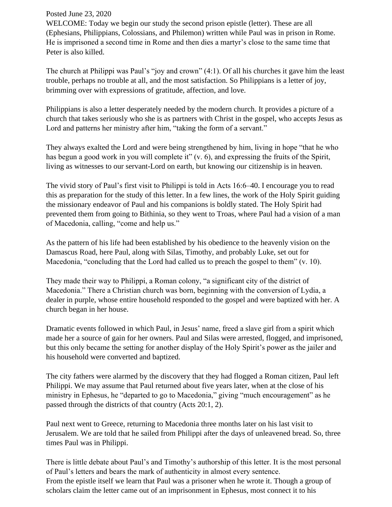## Posted June 23, 2020

WELCOME: Today we begin our study the second prison epistle (letter). These are all (Ephesians, Philippians, Colossians, and Philemon) written while Paul was in prison in Rome. He is imprisoned a second time in Rome and then dies a martyr's close to the same time that Peter is also killed.

The church at Philippi was Paul's "joy and crown" (4:1). Of all his churches it gave him the least trouble, perhaps no trouble at all, and the most satisfaction. So Philippians is a letter of joy, brimming over with expressions of gratitude, affection, and love.

Philippians is also a letter desperately needed by the modern church. It provides a picture of a church that takes seriously who she is as partners with Christ in the gospel, who accepts Jesus as Lord and patterns her ministry after him, "taking the form of a servant."

They always exalted the Lord and were being strengthened by him, living in hope "that he who has begun a good work in you will complete it" (v. 6), and expressing the fruits of the Spirit, living as witnesses to our servant-Lord on earth, but knowing our citizenship is in heaven.

The vivid story of Paul's first visit to Philippi is told in Acts 16:6–40. I encourage you to read this as preparation for the study of this letter. In a few lines, the work of the Holy Spirit guiding the missionary endeavor of Paul and his companions is boldly stated. The Holy Spirit had prevented them from going to Bithinia, so they went to Troas, where Paul had a vision of a man of Macedonia, calling, "come and help us."

As the pattern of his life had been established by his obedience to the heavenly vision on the Damascus Road, here Paul, along with Silas, Timothy, and probably Luke, set out for Macedonia, "concluding that the Lord had called us to preach the gospel to them" (v. 10).

They made their way to Philippi, a Roman colony, "a significant city of the district of Macedonia." There a Christian church was born, beginning with the conversion of Lydia, a dealer in purple, whose entire household responded to the gospel and were baptized with her. A church began in her house.

Dramatic events followed in which Paul, in Jesus' name, freed a slave girl from a spirit which made her a source of gain for her owners. Paul and Silas were arrested, flogged, and imprisoned, but this only became the setting for another display of the Holy Spirit's power as the jailer and his household were converted and baptized.

The city fathers were alarmed by the discovery that they had flogged a Roman citizen, Paul left Philippi. We may assume that Paul returned about five years later, when at the close of his ministry in Ephesus, he "departed to go to Macedonia," giving "much encouragement" as he passed through the districts of that country (Acts 20:1, 2).

Paul next went to Greece, returning to Macedonia three months later on his last visit to Jerusalem. We are told that he sailed from Philippi after the days of unleavened bread. So, three times Paul was in Philippi.

There is little debate about Paul's and Timothy's authorship of this letter. It is the most personal of Paul's letters and bears the mark of authenticity in almost every sentence. From the epistle itself we learn that Paul was a prisoner when he wrote it. Though a group of scholars claim the letter came out of an imprisonment in Ephesus, most connect it to his